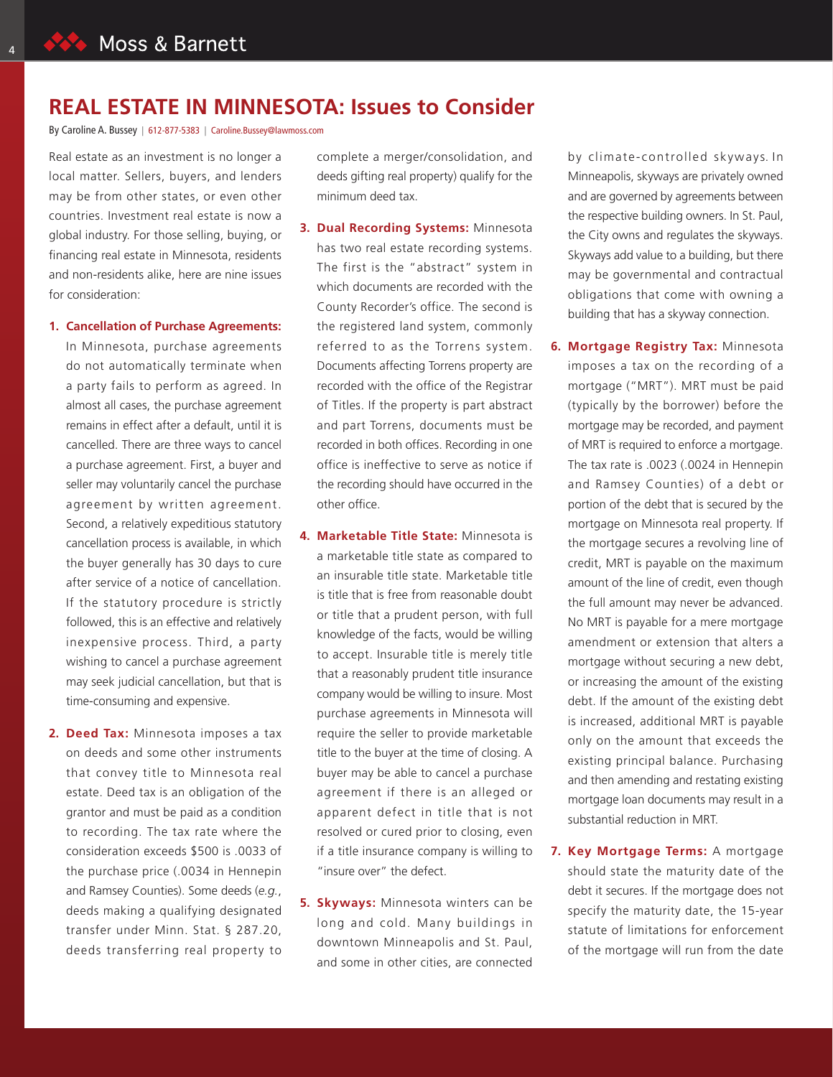## **REAL ESTATE IN MINNESOTA: Issues to Consider**

By Caroline A. Bussey | 612-877-5383 | Caroline.Bussey@lawmoss.com

Real estate as an investment is no longer a local matter. Sellers, buyers, and lenders may be from other states, or even other countries. Investment real estate is now a global industry. For those selling, buying, or financing real estate in Minnesota, residents and non-residents alike, here are nine issues for consideration:

## **1. Cancellation of Purchase Agreements:**

In Minnesota, purchase agreements do not automatically terminate when a party fails to perform as agreed. In almost all cases, the purchase agreement remains in effect after a default, until it is cancelled. There are three ways to cancel a purchase agreement. First, a buyer and seller may voluntarily cancel the purchase agreement by written agreement. Second, a relatively expeditious statutory cancellation process is available, in which the buyer generally has 30 days to cure after service of a notice of cancellation. If the statutory procedure is strictly followed, this is an effective and relatively inexpensive process. Third, a party wishing to cancel a purchase agreement may seek judicial cancellation, but that is time-consuming and expensive.

**2. Deed Tax:** Minnesota imposes a tax on deeds and some other instruments that convey title to Minnesota real estate. Deed tax is an obligation of the grantor and must be paid as a condition to recording. The tax rate where the consideration exceeds \$500 is .0033 of the purchase price (.0034 in Hennepin and Ramsey Counties). Some deeds (*e.g.*, deeds making a qualifying designated transfer under Minn. Stat. § 287.20, deeds transferring real property to complete a merger/consolidation, and deeds gifting real property) qualify for the minimum deed tax.

- **3. Dual Recording Systems:** Minnesota has two real estate recording systems. The first is the "abstract" system in which documents are recorded with the County Recorder's office. The second is the registered land system, commonly referred to as the Torrens system. Documents affecting Torrens property are recorded with the office of the Registrar of Titles. If the property is part abstract and part Torrens, documents must be recorded in both offices. Recording in one office is ineffective to serve as notice if the recording should have occurred in the other office.
- **4. Marketable Title State:** Minnesota is a marketable title state as compared to an insurable title state. Marketable title is title that is free from reasonable doubt or title that a prudent person, with full knowledge of the facts, would be willing to accept. Insurable title is merely title that a reasonably prudent title insurance company would be willing to insure. Most purchase agreements in Minnesota will require the seller to provide marketable title to the buyer at the time of closing. A buyer may be able to cancel a purchase agreement if there is an alleged or apparent defect in title that is not resolved or cured prior to closing, even if a title insurance company is willing to "insure over" the defect.
- **5. Skyways:** Minnesota winters can be long and cold. Many buildings in downtown Minneapolis and St. Paul, and some in other cities, are connected

by climate-controlled skyways. In Minneapolis, skyways are privately owned and are governed by agreements between the respective building owners. In St. Paul, the City owns and regulates the skyways. Skyways add value to a building, but there may be governmental and contractual obligations that come with owning a building that has a skyway connection.

- **6. Mortgage Registry Tax:** Minnesota imposes a tax on the recording of a mortgage ("MRT"). MRT must be paid (typically by the borrower) before the mortgage may be recorded, and payment of MRT is required to enforce a mortgage. The tax rate is .0023 (.0024 in Hennepin and Ramsey Counties) of a debt or portion of the debt that is secured by the mortgage on Minnesota real property. If the mortgage secures a revolving line of credit, MRT is payable on the maximum amount of the line of credit, even though the full amount may never be advanced. No MRT is payable for a mere mortgage amendment or extension that alters a mortgage without securing a new debt, or increasing the amount of the existing debt. If the amount of the existing debt is increased, additional MRT is payable only on the amount that exceeds the existing principal balance. Purchasing and then amending and restating existing mortgage loan documents may result in a substantial reduction in MRT.
- **7. Key Mortgage Terms:** A mortgage should state the maturity date of the debt it secures. If the mortgage does not specify the maturity date, the 15-year statute of limitations for enforcement of the mortgage will run from the date